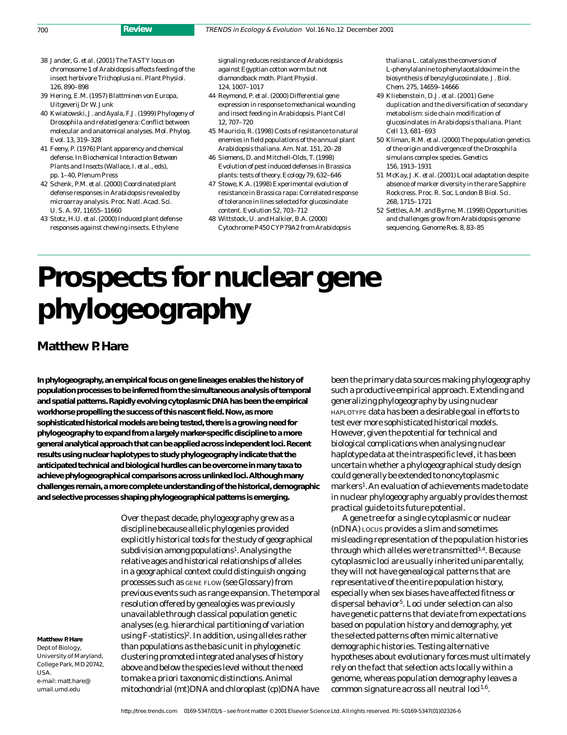- 38 Jander, G. *et al.* (2001) The *TASTY* locus on chromosome 1 of *Arabidopsis* affects feeding of the insect herbivore *Trichoplusia ni*. *Plant Physiol.* 126, 890–898
- 39 Hering, E.M. (1957) *Blattminen von Europa*, Uitgeverij Dr W. Junk
- 40 Kwiatowski, J. and Ayala, F.J. (1999) Phylogeny of *Drosophila* and related genera: Conflict between molecular and anatomical analyses. *Mol. Phylog. Evol.* 13, 319–328
- 41 Feeny, P. (1976) Plant apparency and chemical defense. In *Biochemical Interaction Between Plants and Insects* (Wallace, I. *et al.*, eds), pp. 1–40, Plenum Press
- 42 Schenk, P.M. *et al.* (2000) Coordinated plant defense responses in *Arabidopsis* revealed by microarray analysis. *Proc. Natl. Acad. Sci. U. S. A.* 97, 11655–11660
- 43 Stotz, H.U. *et al.* (2000) Induced plant defense responses against chewing insects. Ethylene

signaling reduces resistance of *Arabidopsis* against Egyptian cotton worm but not diamondback moth. *Plant Physiol.* 124, 1007–1017

- 44 Reymond, P. *et al.* (2000) Differential gene expression in response to mechanical wounding and insect feeding in *Arabidopsis*. *Plant Cell* 12, 707–720
- 45 Mauricio, R. (1998) Costs of resistance to natural enemies in field populations of the annual plant *Arabidopsis thaliana*. *Am. Nat.* 151, 20–28
- 46 Siemens, D. and Mitchell-Olds, T. (1998) Evolution of pest induced defenses in *Brassica* plants: tests of theory. *Ecology* 79, 632–646
- 47 Stowe, K.A. (1998) Experimental evolution of resistance in *Brassica rapa*: Correlated response of tolerance in lines selected for glucosinolate content. *Evolution* 52, 703–712
- 48 Wittstock, U. and Halkier, B.A. (2000) Cytochrome P450 CYP79A2 from *Arabidopsis*

*thaliana* L. catalyzes the conversion of L-phenylalanine to phenylacetaldoxime in the biosynthesis of benzylglucosinolate. *J. Biol. Chem.* 275, 14659–14666

- 49 Kliebenstein, D.J. *et al.* (2001) Gene duplication and the diversification of secondary metabolism: side chain modification of glucosinolates in *Arabidopsis thaliana*. *Plant Cell* 13, 681–693
- 50 Kliman, R.M. *et al.* (2000) The population genetics of the origin and divergence of the *Drosophila simulans* complex species. *Genetics* 156, 1913–1931
- 51 McKay, J.K. *et al.* (2001) Local adaptation despite absence of marker diversity in the rare Sapphire Rockcress. *Proc. R. Soc. London B Biol. Sci.* 268, 1715–1721
- 52 Settles, A.M. and Byrne, M. (1998) Opportunities and challenges grow from *Arabidopsis* genome sequencing. *Genome Res.* 8, 83–85

# **Prospects for nuclear gene phylogeography**

# **Matthew P. Hare**

**In phylogeography,an empirical focus on gene lineages enables the history of population processes to be inferred from the simultaneous analysis of temporal and spatial patterns.Rapidly evolving cytoplasmic DNA has been the empirical workhorse propelling the success of this nascent field.Now,as more** sophisticated historical models are being tested, there is a growing need for **phylogeography to expand from a largely marker-specific discipline to a more general analytical approach that can be applied across independent loci.Recent results using nuclear haplotypes to study phylogeography indicate that the anticipated technical and biological hurdles can be overcome in many taxa to achieve phylogeographical comparisons across unlinked loci.Although many** challenges remain, a more complete understanding of the historical, demographic **and selective processes shaping phylogeographical patterns is emerging.**

> Over the past decade, phylogeography grew as a discipline because allelic phylogenies provided explicitly historical tools for the study of geographical subdivision among populations<sup>1</sup>. Analysing the relative ages and historical relationships of alleles in a geographical context could distinguish ongoing processes such as GENE FLOW (see Glossary) from previous events such as range expansion. The temporal resolution offered by genealogies was previously unavailable through classical population genetic analyses (e.g. hierarchical partitioning of variation using  $F$ -statistics)<sup>2</sup>. In addition, using alleles rather than populations as the basic unit in phylogenetic clustering promoted integrated analyses of history above and below the species level without the need to make *a priori*taxonomic distinctions. Animal mitochondrial (mt)DNA and chloroplast (cp)DNA have

been the primary data sources making phylogeography such a productive empirical approach. Extending and generalizing phylogeography by using nuclear HAPLOTYPE data has been a desirable goal in efforts to test ever more sophisticated historical models. However, given the potential for technical and biological complications when analysing nuclear haplotype data at the intraspecific level, it has been uncertain whether a phylogeographical study design could generally be extended to noncytoplasmic markers1. An evaluation of achievements made to date in nuclear phylogeography arguably provides the most practical guide to its future potential.

A gene tree for a single cytoplasmic or nuclear (nDNA) LOCUS provides a slim and sometimes misleading representation of the population histories through which alleles were transmitted<sup>3,4</sup>. Because cytoplasmic loci are usually inherited uniparentally, they will not have genealogical patterns that are representative of the entire population history, especially when sex biases have affected fitness or dispersal behavior<sup>5</sup>. Loci under selection can also have genetic patterns that deviate from expectations based on population history and demography, yet the selected patterns often mimic alternative demographic histories. Testing alternative hypotheses about evolutionary forces must ultimately rely on the fact that selection acts locally within a genome, whereas population demography leaves a common signature across all neutral loci<sup>1,6</sup>.

**Matthew P. Hare** Dept of Biology,

University of Maryland, College Park, MD 20742, USA. e-mail: matt.hare@ umail.umd.edu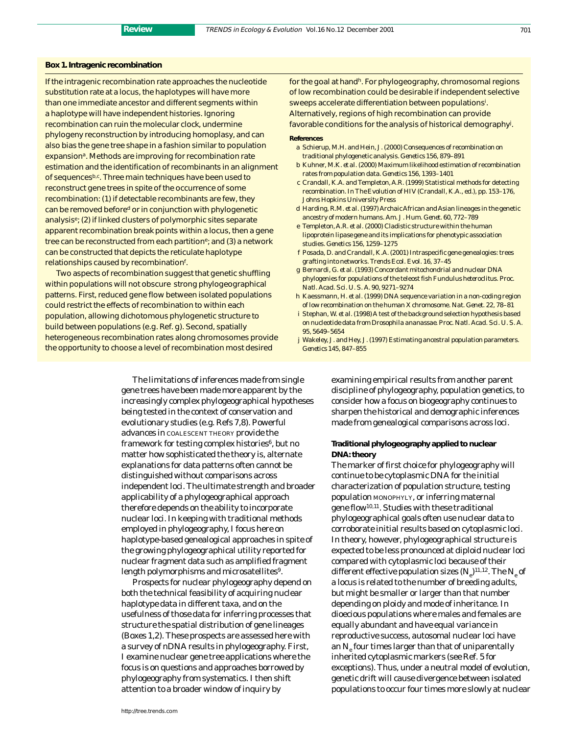# **Box 1. Intragenic recombination**

If the intragenic recombination rate approaches the nucleotide substitution rate at a locus, the haplotypes will have more than one immediate ancestor and different segments within a haplotype will have independent histories. Ignoring recombination can ruin the molecular clock, undermine phylogeny reconstruction by introducing homoplasy, and can also bias the gene tree shape in a fashion similar to population expansion<sup>a</sup>. Methods are improving for recombination rate estimation and the identification of recombinants in an alignment of sequences<sup>b,c</sup>. Three main techniques have been used to reconstruct gene trees in spite of the occurrence of some recombination: (1) if detectable recombinants are few, they can be removed before<sup>d</sup> or in conjunction with phylogenetic analysise; (2) if linked clusters of polymorphic sites separate apparent recombination break points within a locus, then a gene tree can be reconstructed from each partition<sup>e</sup>; and (3) a network can be constructed that depicts the reticulate haplotype relationships caused by recombination<sup>f</sup>.

Two aspects of recombination suggest that genetic shuffling within populations will not obscure strong phylogeographical patterns. First, reduced gene flow between isolated populations could restrict the effects of recombination to within each population, allowing dichotomous phylogenetic structure to build between populations (e.g. Ref. g). Second, spatially heterogeneous recombination rates along chromosomes provide the opportunity to choose a level of recombination most desired

for the goal at hand<sup>h</sup>. For phylogeography, chromosomal regions of low recombination could be desirable if independent selective sweeps accelerate differentiation between populations<sup>i</sup>. Alternatively, regions of high recombination can provide favorable conditions for the analysis of historical demographyj .

#### **References**

- a Schierup, M.H. and Hein, J. (2000) Consequences of recombination on traditional phylogenetic analysis. *Genetics* 156, 879–891
- b Kuhner, M.K. *et al*. (2000) Maximum likelihood estimation of recombination rates from population data. *Genetics* 156, 1393–1401
- c Crandall, K.A. and Templeton, A.R. (1999) Statistical methods for detecting recombination. In *The Evolution of HIV* (Crandall, K.A., ed.), pp. 153–176, Johns Hopkins University Press
- d Harding, R.M. *et al*. (1997) Archaic African and Asian lineages in the genetic ancestry of modern humans. *Am. J. Hum. Genet.* 60, 772–789
- e Templeton, A.R. *et al.* (2000) Cladistic structure within the human *lipoprotein lipase* gene and its implications for phenotypic association studies. *Genetics* 156, 1259–1275
- f Posada, D. and Crandall, K.A. (2001) Intraspecific gene genealogies: trees grafting into networks. *Trends Ecol. Evol.* 16, 37–45
- g Bernardi, G. *et al*. (1993) Concordant mitochondrial and nuclear DNA phylogenies for populations of the teleost fish *Fundulus heteroclitus*. *Proc. Natl. Acad. Sci. U. S. A.* 90, 9271–9274
- h Kaessmann, H. *et al*. (1999) DNA sequence variation in a non-coding region of low recombination on the human X chromosome. *Nat. Genet.* 22, 78–81
- i Stephan, W. *et al*. (1998) A test of the background selection hypothesis based on nucleotide data from *Drosophila ananassae*. *Proc. Natl. Acad. Sci. U. S. A.* 95, 5649–5654
- j Wakeley, J. and Hey, J. (1997) Estimating ancestral population parameters. *Genetics* 145, 847–855

The limitations of inferences made from single gene trees have been made more apparent by the increasingly complex phylogeographical hypotheses being tested in the context of conservation and evolutionary studies (e.g. Refs 7,8). Powerful advances in COALESCENT THEORY provide the framework for testing complex histories $6$ , but no matter how sophisticated the theory is, alternate explanations for data patterns often cannot be distinguished without comparisons across independent loci. The ultimate strength and broader applicability of a phylogeographical approach therefore depends on the ability to incorporate nuclear loci. In keeping with traditional methods employed in phylogeography, I focus here on haplotype-based genealogical approaches in spite of the growing phylogeographical utility reported for nuclear fragment data such as amplified fragment length polymorphisms and microsatellites<sup>9</sup>.

Prospects for nuclear phylogeography depend on both the technical feasibility of acquiring nuclear haplotype data in different taxa, and on the usefulness of those data for inferring processes that structure the spatial distribution of gene lineages (Boxes 1,2). These prospects are assessed here with a survey of nDNA results in phylogeography. First, I examine nuclear gene tree applications where the focus is on questions and approaches borrowed by phylogeography from systematics. I then shift attention to a broader window of inquiry by

examining empirical results from another parent discipline of phylogeography, population genetics, to consider how a focus on biogeography continues to sharpen the historical and demographic inferences made from genealogical comparisons across loci.

# **Traditional phylogeography applied to nuclear DNA: theory**

The marker of first choice for phylogeography will continue to be cytoplasmic DNA for the initial characterization of population structure, testing population MONOPHYLY, or inferring maternal gene flow10,11. Studies with these traditional phylogeographical goals often use nuclear data to corroborate initial results based on cytoplasmic loci. In theory, however, phylogeographical structure is expected to be less pronounced at diploid nuclear loci compared with cytoplasmic loci because of their different effective population sizes  $(N_e)^{11,12}$ . The  $N_{\rm e}$  of a locus is related to the number of breeding adults, but might be smaller or larger than that number depending on ploidy and mode of inheritance. In dioecious populations where males and females are equally abundant and have equal variance in reproductive success, autosomal nuclear loci have an  $N_{\rm s}$  four times larger than that of uniparentally inherited cytoplasmic markers (see Ref. 5 for exceptions). Thus, under a neutral model of evolution, genetic drift will cause divergence between isolated populations to occur four times more slowly at nuclear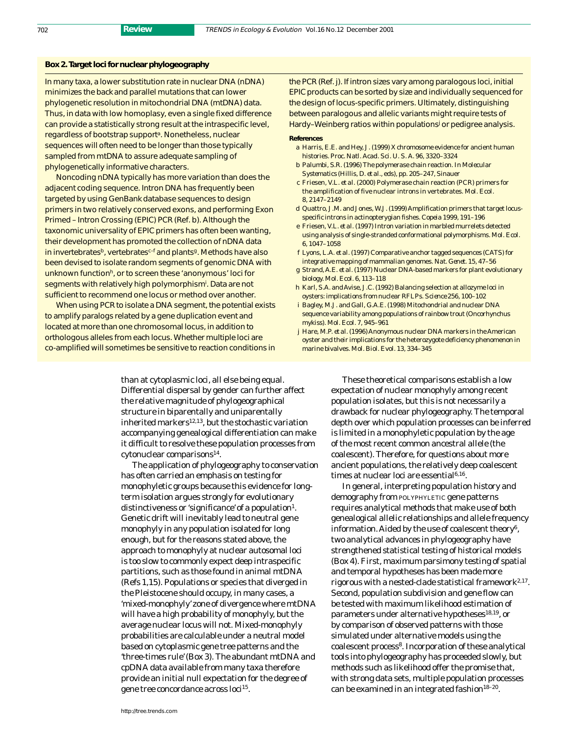## **Box 2. Target loci for nuclear phylogeography**

In many taxa, a lower substitution rate in nuclear DNA (nDNA) minimizes the back and parallel mutations that can lower phylogenetic resolution in mitochondrial DNA (mtDNA) data. Thus, in data with low homoplasy, even a single fixed difference can provide a statistically strong result at the intraspecific level, regardless of bootstrap support<sup>a</sup>. Nonetheless, nuclear sequences will often need to be longer than those typically sampled from mtDNA to assure adequate sampling of phylogenetically informative characters.

Noncoding nDNA typically has more variation than does the adjacent coding sequence. Intron DNA has frequently been targeted by using GenBank database sequences to design primers in two relatively conserved exons, and performing Exon Primed – Intron Crossing (EPIC) PCR (Ref. b). Although the taxonomic universality of EPIC primers has often been wanting, their development has promoted the collection of nDNA data in invertebrates<sup>b</sup>, vertebrates<sup>c-f</sup> and plants<sup>g</sup>. Methods have also been devised to isolate random segments of genomic DNA with unknown function<sup>h</sup>, or to screen these 'anonymous' loci for segments with relatively high polymorphism<sup>i</sup>. Data are not sufficient to recommend one locus or method over another.

When using PCR to isolate a DNA segment, the potential exists to amplify paralogs related by a gene duplication event and located at more than one chromosomal locus, in addition to orthologous alleles from each locus. Whether multiple loci are co-amplified will sometimes be sensitive to reaction conditions in

the PCR (Ref. j). If intron sizes vary among paralogous loci, initial EPIC products can be sorted by size and individually sequenced for the design of locus-specific primers. Ultimately, distinguishing between paralogous and allelic variants might require tests of Hardy–Weinberg ratios within populations<sup>j</sup> or pedigree analysis.

#### **References**

- a Harris, E.E. and Hey, J. (1999) X chromosome evidence for ancient human histories. *Proc. Natl. Acad. Sci. U. S. A.* 96, 3320–3324
- b Palumbi, S.R. (1996) The polymerase chain reaction. In *Molecular Systematics* (Hillis, D. *et al.*, eds), pp. 205–247, Sinauer
- c Friesen, V.L. *et al*. (2000) Polymerase chain reaction (PCR) primers for the amplification of five nuclear introns in vertebrates. *Mol. Ecol.* 8, 2147–2149
- d Quattro, J.M. and Jones, W.J. (1999) Amplification primers that target locusspecific introns in actinopterygian fishes. *Copeia* 1999, 191–196
- e Friesen, V.L. *et al*. (1997) Intron variation in marbled murrelets detected using analysis of single-stranded conformational polymorphisms. *Mol. Ecol.* 6, 1047–1058
- f Lyons, L.A. *et al*. (1997) Comparative anchor tagged sequences (CATS) for integrative mapping of mammalian genomes. *Nat. Genet.* 15, 47–56
- g Strand, A.E. *et al*. (1997) Nuclear DNA-based markers for plant evolutionary biology. *Mol. Ecol.* 6, 113–118
- h Karl, S.A. and Avise, J.C. (1992) Balancing selection at allozyme loci in oysters: implications from nuclear RFLPs. *Science* 256, 100–102
- i Bagley, M.J. and Gall, G.A.E. (1998) Mitochondrial and nuclear DNA sequence variability among populations of rainbow trout (*Oncorhynchus mykiss*). *Mol. Ecol.* 7, 945–961
- j Hare, M.P. *et al*. (1996) Anonymous nuclear DNA markers in the American oyster and their implications for the heterozygote deficiency phenomenon in marine bivalves. *Mol. Biol. Evol.* 13, 334–345

than at cytoplasmic loci, all else being equal. Differential dispersal by gender can further affect the relative magnitude of phylogeographical structure in biparentally and uniparentally inherited markers<sup>12,13</sup>, but the stochastic variation accompanying genealogical differentiation can make it difficult to resolve these population processes from cytonuclear comparisons<sup>14</sup>.

The application of phylogeography to conservation has often carried an emphasis on testing for monophyletic groups because this evidence for longterm isolation argues strongly for evolutionary distinctiveness or 'significance' of a population<sup>1</sup>. Genetic drift will inevitably lead to neutral gene monophyly in any population isolated for long enough, but for the reasons stated above, the approach to monophyly at nuclear autosomal loci is too slow to commonly expect deep intraspecific partitions, such as those found in animal mtDNA (Refs 1,15). Populations or species that diverged in the Pleistocene should occupy, in many cases, a 'mixed-monophyly'zone of divergence where mtDNA will have a high probability of monophyly, but the average nuclear locus will not. Mixed-monophyly probabilities are calculable under a neutral model based on cytoplasmic gene tree patterns and the 'three-times rule'(Box 3). The abundant mtDNA and cpDNA data available from many taxa therefore provide an initial null expectation for the degree of gene tree concordance across loci15.

These theoretical comparisons establish a low expectation of nuclear monophyly among recent population isolates, but this is not necessarily a drawback for nuclear phylogeography. The temporal depth over which population processes can be inferred is limited in a monophyletic population by the age of the most recent common ancestral allele (the coalescent). Therefore, for questions about more ancient populations, the relatively deep coalescent times at nuclear loci are essential $6,16$ .

In general, interpreting population history and demography from POLYPHYLETIC gene patterns requires analytical methods that make use of both genealogical allelic relationships and allele frequency information. Aided by the use of coalescent theory $6$ , two analytical advances in phylogeography have strengthened statistical testing of historical models (Box 4). First, maximum parsimony testing of spatial and temporal hypotheses has been made more rigorous with a nested-clade statistical framework<sup>2,17</sup>. Second, population subdivision and gene flow can be tested with maximum likelihood estimation of parameters under alternative hypotheses<sup>18,19</sup>, or by comparison of observed patterns with those simulated under alternative models using the coalescent process8. Incorporation of these analytical tools into phylogeography has proceeded slowly, but methods such as likelihood offer the promise that, with strong data sets, multiple population processes can be examined in an integrated fashion $18-20$ .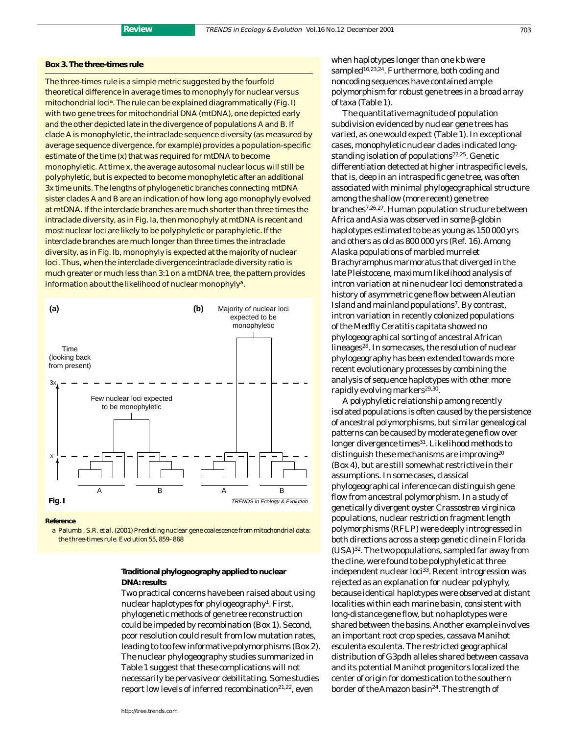# **Box 3. The three-times rule**

The three-times rule is a simple metric suggested by the fourfold theoretical difference in average times to monophyly for nuclear versus mitochondrial loci<sup>a</sup>. The rule can be explained diagrammatically (Fig. I) with two gene trees for mitochondrial DNA (mtDNA), one depicted early and the other depicted late in the divergence of populations A and B. If clade A is monophyletic, the intraclade sequence diversity (as measured by average sequence divergence, for example) provides a population-specific estimate of the time (x) that was required for mtDNA to become monophyletic. At time x, the average autosomal nuclear locus will still be polyphyletic, but is expected to become monophyletic after an additional 3x time units. The lengths of phylogenetic branches connecting mtDNA sister clades A and B are an indication of how long ago monophyly evolved at mtDNA. If the interclade branches are much shorter than three times the intraclade diversity, as in Fig. Ia, then monophyly at mtDNA is recent and most nuclear loci are likely to be polyphyletic or paraphyletic. If the interclade branches are much longer than three times the intraclade diversity, as in Fig. Ib, monophyly is expected at the majority of nuclear loci. Thus, when the interclade divergence:intraclade diversity ratio is much greater or much less than 3:1 on a mtDNA tree, the pattern provides information about the likelihood of nuclear monophyly<sup>a</sup>.



#### **Reference**

a Palumbi, S.R. *et al*. (2001) Predicting nuclear gene coalescence from mitochondrial data: the three-times rule. *Evolution* 55, 859–868

# **Traditional phylogeography applied to nuclear DNA: results**

Two practical concerns have been raised about using nuclear haplotypes for phylogeography<sup>1</sup>. First, phylogenetic methods of gene tree reconstruction could be impeded by recombination (Box 1). Second, poor resolution could result from low mutation rates, leading to too few informative polymorphisms (Box 2). The nuclear phylogeography studies summarized in Table 1 suggest that these complications will not necessarily be pervasive or debilitating. Some studies report low levels of inferred recombination<sup>21,22</sup>, even

The quantitative magnitude of population subdivision evidenced by nuclear gene trees has varied, as one would expect (Table 1). In exceptional cases, monophyletic nuclear clades indicated longstanding isolation of populations<sup>22,25</sup>. Genetic differentiation detected at higher intraspecific levels, that is, deep in an intraspecific gene tree, was often associated with minimal phylogeographical structure among the shallow (more recent) gene tree branches7,26,27. Human population structure between Africa and Asia was observed in some β-globin haplotypes estimated to be as young as 150 000 yrs and others as old as 800 000 yrs (Ref. 16). Among Alaska populations of marbled murrelet *Brachyramphus marmoratus* that diverged in the late Pleistocene, maximum likelihood analysis of intron variation at nine nuclear loci demonstrated a history of asymmetric gene flow between Aleutian Island and mainland populations7. By contrast, intron variation in recently colonized populations of the Medfly *Ceratitis capitata* showed no phylogeographical sorting of ancestral African lineages<sup>28</sup>. In some cases, the resolution of nuclear phylogeography has been extended towards more recent evolutionary processes by combining the analysis of sequence haplotypes with other more rapidly evolving markers<sup>29,30</sup>.

A polyphyletic relationship among recently isolated populations is often caused by the persistence of ancestral polymorphisms, but similar genealogical patterns can be caused by moderate gene flow over longer divergence times<sup>31</sup>. Likelihood methods to distinguish these mechanisms are improving<sup>20</sup> (Box 4), but are still somewhat restrictive in their assumptions. In some cases, classical phylogeographical inference can distinguish gene flow from ancestral polymorphism. In a study of genetically divergent oyster *Crassostrea virginica* populations, nuclear restriction fragment length polymorphisms (RFLP) were deeply introgressed in both directions across a steep genetic cline in Florida (USA)32. The two populations, sampled far away from the cline, were found to be polyphyletic at three independent nuclear loci<sup>33</sup>. Recent introgression was rejected as an explanation for nuclear polyphyly, because identical haplotypes were observed at distant localities within each marine basin, consistent with long-distance gene flow, but no haplotypes were shared between the basins. Another example involves an important root crop species, cassava *Manihot esculenta esculenta*. The restricted geographical distribution of *G3pdh* alleles shared between cassava and its potential *Manihot* progenitors localized the center of origin for domestication to the southern border of the Amazon basin<sup>24</sup>. The strength of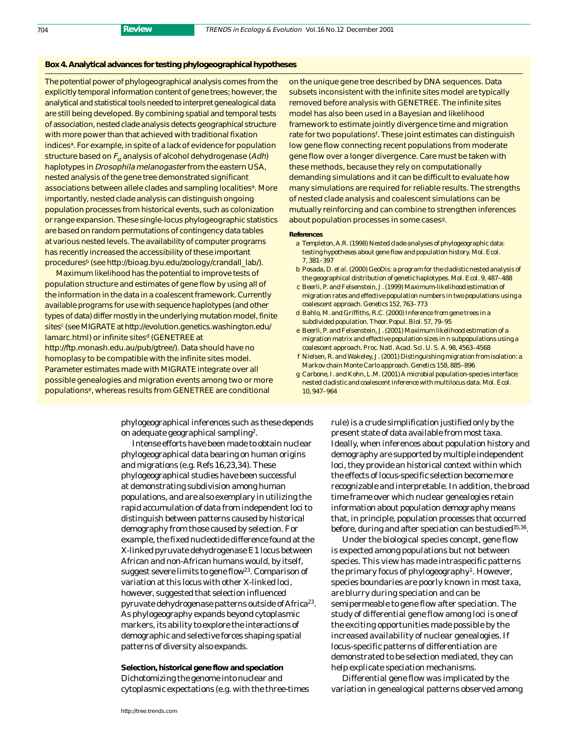### **Box 4. Analytical advances for testing phylogeographical hypotheses**

The potential power of phylogeographical analysis comes from the explicitly temporal information content of gene trees; however, the analytical and statistical tools needed to interpret genealogical data are still being developed. By combining spatial and temporal tests of association, nested clade analysis detects geographical structure with more power than that achieved with traditional fixation indices<sup>a</sup>. For example, in spite of a lack of evidence for population structure based on  $F_{st}$  analysis of alcohol dehydrogenase (Adh) haplotypes in Drosophila melanogasterfrom the eastern USA, nested analysis of the gene tree demonstrated significant associations between allele clades and sampling localities<sup>a</sup>. More importantly, nested clade analysis can distinguish ongoing population processes from historical events, such as colonization or range expansion. These single-locus phylogeographic statistics are based on random permutations of contingency data tables at various nested levels. The availability of computer programs has recently increased the accessibility of these important procedures<sup>b</sup> (see http://bioag.byu.edu/zoology/crandall\_lab/).

Maximum likelihood has the potential to improve tests of population structure and estimates of gene flow by using all of the information in the data in a coalescent framework. Currently available programs for use with sequence haplotypes (and other types of data) differ mostly in the underlying mutation model, finite sites<sup>c</sup> (see MIGRATE at http://evolution.genetics.washington.edu/ lamarc.html) or infinite sites<sup>d</sup> (GENETREE at http://ftp.monash.edu.au/pub/gtree/). Data should have no homoplasy to be compatible with the infinite sites model. Parameter estimates made with MIGRATE integrate over all possible genealogies and migration events among two or more populationse, whereas results from GENETREE are conditional

on the unique gene tree described by DNA sequences. Data subsets inconsistent with the infinite sites model are typically removed before analysis with GENETREE. The infinite sites model has also been used in a Bayesian and likelihood framework to estimate jointly divergence time and migration rate for two populations<sup>f</sup>. These joint estimates can distinguish low gene flow connecting recent populations from moderate gene flow over a longer divergence. Care must be taken with these methods, because they rely on computationally demanding simulations and it can be difficult to evaluate how many simulations are required for reliable results. The strengths of nested clade analysis and coalescent simulations can be mutually reinforcing and can combine to strengthen inferences about population processes in some cases<sup>g</sup>.

#### **References**

- a Templeton, A.R. (1998) Nested clade analyses of phylogeographic data: testing hypotheses about gene flow and population history. *Mol. Ecol.* 7, 381–397
- b Posada, D. *et al*. (2000) GeoDis: a program for the cladistic nested analysis of the geographical distribution of genetic haplotypes. *Mol. Ecol.* 9, 487–488
- c Beerli, P. and Felsenstein, J. (1999) Maximum-likelihood estimation of migration rates and effective population numbers in two populations using a coalescent approach. *Genetics* 152, 763–773
- d Bahlo, M. and Griffiths, R.C. (2000) Inference from gene trees in a subdivided population. *Theor. Popul. Biol.* 57, 79–95
- e Beerli, P. and Felsenstein, J. (2001) Maximum likelihood estimation of a migration matrix and effective population sizes in n subpopulations using a coalescent approach. *Proc. Natl. Acad. Sci. U. S. A.* 98, 4563–4568
- f Nielsen, R. and Wakeley, J. (2001) Distinguishing migration from isolation: a Markov chain Monte Carlo approach. *Genetics* 158, 885–896
- g Carbone, I. and Kohn, L.M. (2001) A microbial population-species interface: nested cladistic and coalescent inference with multilocus data. *Mol. Ecol.* 10, 947–964

phylogeographical inferences such as these depends on adequate geographical sampling2.

Intense efforts have been made to obtain nuclear phylogeographical data bearing on human origins and migrations (e.g. Refs 16,23,34). These phylogeographical studies have been successful at demonstrating subdivision among human populations, and are also exemplary in utilizing the rapid accumulation of data from independent loci to distinguish between patterns caused by historical demography from those caused by selection. For example, the fixed nucleotide difference found at the X-linked pyruvate dehydrogenase *E1* locus between African and non-African humans would, by itself, suggest severe limits to gene flow<sup>23</sup>. Comparison of variation at this locus with other X-linked loci, however, suggested that selection influenced pyruvate dehydrogenase patterns outside of Africa<sup>23</sup>. As phylogeography expands beyond cytoplasmic markers, its ability to explore the interactions of demographic and selective forces shaping spatial patterns of diversity also expands.

**Selection, historical gene flow and speciation** Dichotomizing the genome into nuclear and cytoplasmic expectations (e.g. with the three-times rule) is a crude simplification justified only by the present state of data available from most taxa. Ideally, when inferences about population history and demography are supported by multiple independent loci, they provide an historical context within which the effects of locus-specific selection become more recognizable and interpretable. In addition, the broad time frame over which nuclear genealogies retain information about population demography means that, in principle, population processes that occurred before, during and after speciation can be studied<sup>35,36</sup>.

Under the biological species concept, gene flow is expected among populations but not between species. This view has made intraspecific patterns the primary focus of phylogeography<sup>1</sup>. However, species boundaries are poorly known in most taxa, are blurry during speciation and can be semipermeable to gene flow after speciation. The study of differential gene flow among loci is one of the exciting opportunities made possible by the increased availability of nuclear genealogies. If locus-specific patterns of differentiation are demonstrated to be selection mediated, they can help explicate speciation mechanisms.

Differential gene flow was implicated by the variation in genealogical patterns observed among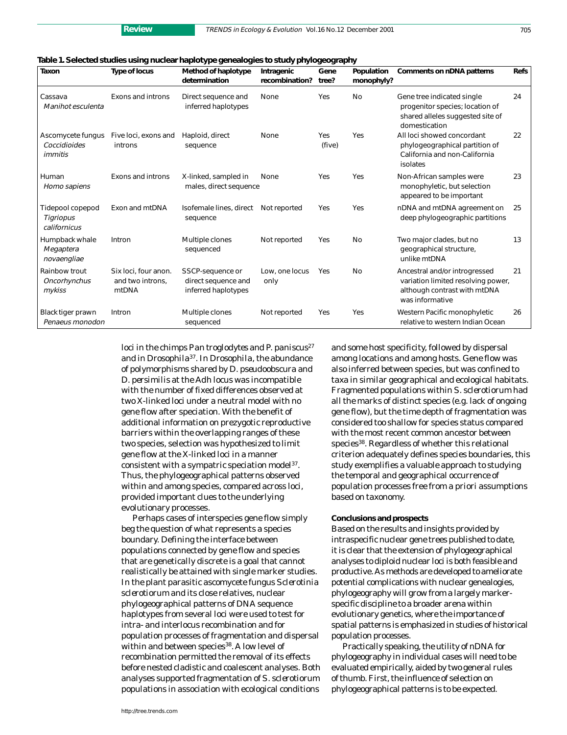| Table 1. Selected studies using nuclear haplotype genealogies to study phylogeography |  |  |
|---------------------------------------------------------------------------------------|--|--|
|---------------------------------------------------------------------------------------|--|--|

| Taxon                                               | <b>Type of locus</b>                              | Method of haplotype<br>determination                           | . .<br>Intragenic<br>recombination? | Gene<br>tree? | Population<br>monophyly? | <b>Comments on nDNA patterns</b>                                                                                       | <b>Refs</b> |
|-----------------------------------------------------|---------------------------------------------------|----------------------------------------------------------------|-------------------------------------|---------------|--------------------------|------------------------------------------------------------------------------------------------------------------------|-------------|
| Cassava<br>Manihot esculenta                        | Exons and introns                                 | Direct sequence and<br>inferred haplotypes                     | None                                | Yes           | <b>No</b>                | Gene tree indicated single<br>progenitor species; location of<br>shared alleles suggested site of<br>domestication     | 24          |
| Ascomycete fungus<br>Coccidioides<br><i>immitis</i> | Five loci, exons and<br>introns                   | Haploid, direct<br>sequence                                    | None                                | Yes<br>(five) | Yes                      | All loci showed concordant<br>phylogeographical partition of<br>California and non-California<br>isolates              | 22          |
| Human<br>Homo sapiens                               | Exons and introns                                 | X-linked, sampled in<br>males, direct sequence                 | None                                | Yes           | Yes                      | Non-African samples were<br>monophyletic, but selection<br>appeared to be important                                    | 23          |
| Tidepool copepod<br>Tigriopus<br>californicus       | Exon and mtDNA                                    | Isofemale lines, direct<br>sequence                            | Not reported                        | Yes           | Yes                      | nDNA and mtDNA agreement on<br>deep phylogeographic partitions                                                         | 25          |
| Humpback whale<br>Megaptera<br>novaengliae          | Intron                                            | Multiple clones<br>sequenced                                   | Not reported                        | Yes           | No                       | Two major clades, but no<br>geographical structure,<br>unlike mtDNA                                                    | 13          |
| Rainbow trout<br>Oncorhynchus<br>mykiss             | Six loci, four anon.<br>and two introns,<br>mtDNA | SSCP-sequence or<br>direct sequence and<br>inferred haplotypes | Low, one locus<br>only              | Yes           | <b>No</b>                | Ancestral and/or introgressed<br>variation limited resolving power,<br>although contrast with mtDNA<br>was informative | 21          |
| Black tiger prawn<br>Penaeus monodon                | Intron                                            | Multiple clones<br>sequenced                                   | Not reported                        | Yes           | Yes                      | Western Pacific monophyletic<br>relative to western Indian Ocean                                                       | 26          |

loci in the chimps *Pan troglodytes* and *P. paniscus*<sup>27</sup> and in *Drosophila*37. In *Drosophila*, the abundance of polymorphisms shared by *D. pseudoobscura* and *D. persimilis* at the *Adh* locus was incompatible with the number of fixed differences observed at two X-linked loci under a neutral model with no gene flow after speciation. With the benefit of additional information on prezygotic reproductive barriers within the overlapping ranges of these two species, selection was hypothesized to limit gene flow at the X-linked loci in a manner consistent with a sympatric speciation model<sup>37</sup>. Thus, the phylogeographical patterns observed within and among species, compared across loci, provided important clues to the underlying evolutionary processes.

Perhaps cases of interspecies gene flow simply beg the question of what represents a species boundary. Defining the interface between populations connected by gene flow and species that are genetically discrete is a goal that cannot realistically be attained with single marker studies. In the plant parasitic ascomycete fungus *Sclerotinia sclerotiorum* and its close relatives, nuclear phylogeographical patterns of DNA sequence haplotypes from several loci were used to test for intra- and interlocus recombination and for population processes of fragmentation and dispersal within and between species<sup>38</sup>. A low level of recombination permitted the removal of its effects before nested cladistic and coalescent analyses. Both analyses supported fragmentation of *S. sclerotiorum* populations in association with ecological conditions

and some host specificity, followed by dispersal among locations and among hosts. Gene flow was also inferred between species, but was confined to taxa in similar geographical and ecological habitats. Fragmented populations within *S. sclerotiorum* had all the marks of distinct species (e.g. lack of ongoing gene flow), but the time depth of fragmentation was considered too shallow for species status compared with the most recent common ancestor between species<sup>38</sup>. Regardless of whether this relational criterion adequately defines species boundaries, this study exemplifies a valuable approach to studying the temporal and geographical occurrence of population processes free from *a priori* assumptions based on taxonomy.

# **Conclusions and prospects**

Based on the results and insights provided by intraspecific nuclear gene trees published to date, it is clear that the extension of phylogeographical analyses to diploid nuclear loci is both feasible and productive. As methods are developed to ameliorate potential complications with nuclear genealogies, phylogeography will grow from a largely markerspecific discipline to a broader arena within evolutionary genetics, where the importance of spatial patterns is emphasized in studies of historical population processes.

Practically speaking, the utility of nDNA for phylogeography in individual cases will need to be evaluated empirically, aided by two general rules of thumb. First, the influence of selection on phylogeographical patterns is to be expected.